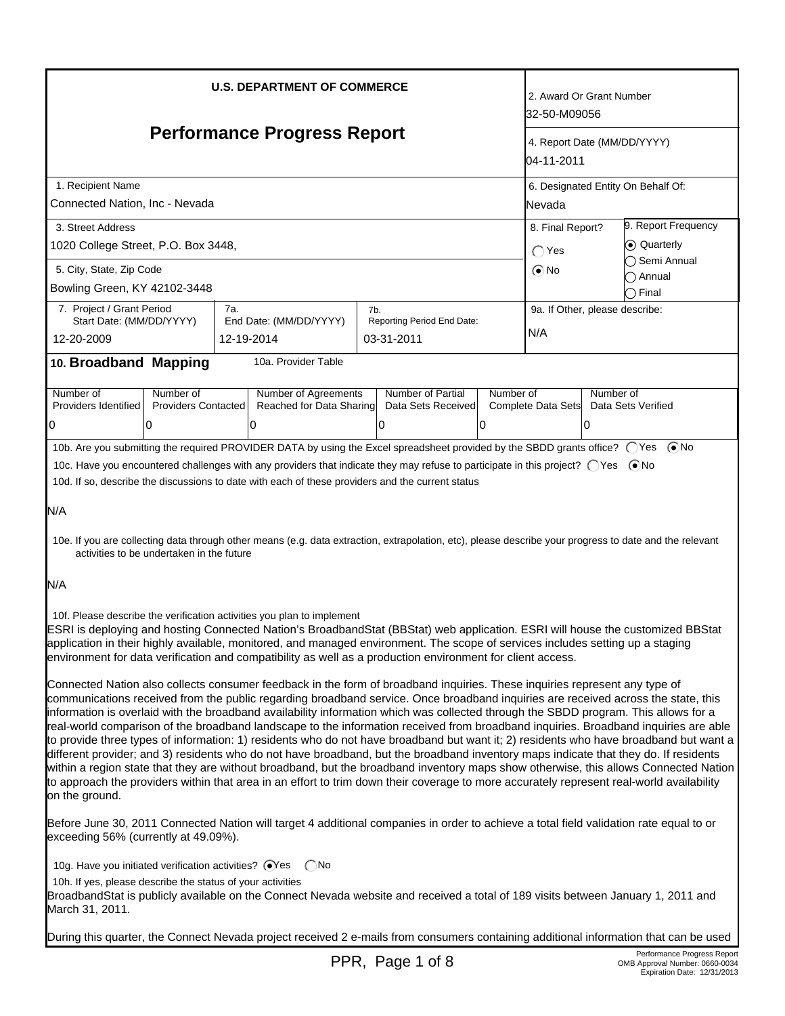| <b>U.S. DEPARTMENT OF COMMERCE</b>                                                                                                                                                                                                                                                                                                                                                                                                                                                                                                                                                                                                                                                                                                                                                                                                                                                                                                                                                                                                                                                                                                   |                                         |                                                       |     |                                              | 2. Award Or Grant Number<br>32-50-M09056                                                  |                                       |                 |                             |
|--------------------------------------------------------------------------------------------------------------------------------------------------------------------------------------------------------------------------------------------------------------------------------------------------------------------------------------------------------------------------------------------------------------------------------------------------------------------------------------------------------------------------------------------------------------------------------------------------------------------------------------------------------------------------------------------------------------------------------------------------------------------------------------------------------------------------------------------------------------------------------------------------------------------------------------------------------------------------------------------------------------------------------------------------------------------------------------------------------------------------------------|-----------------------------------------|-------------------------------------------------------|-----|----------------------------------------------|-------------------------------------------------------------------------------------------|---------------------------------------|-----------------|-----------------------------|
| <b>Performance Progress Report</b>                                                                                                                                                                                                                                                                                                                                                                                                                                                                                                                                                                                                                                                                                                                                                                                                                                                                                                                                                                                                                                                                                                   |                                         |                                                       |     |                                              | 4. Report Date (MM/DD/YYYY)<br>04-11-2011                                                 |                                       |                 |                             |
| 1. Recipient Name<br>Connected Nation, Inc - Nevada                                                                                                                                                                                                                                                                                                                                                                                                                                                                                                                                                                                                                                                                                                                                                                                                                                                                                                                                                                                                                                                                                  |                                         |                                                       |     |                                              | 6. Designated Entity On Behalf Of:<br><b>Nevada</b>                                       |                                       |                 |                             |
| 3. Street Address<br>1020 College Street, P.O. Box 3448,                                                                                                                                                                                                                                                                                                                                                                                                                                                                                                                                                                                                                                                                                                                                                                                                                                                                                                                                                                                                                                                                             |                                         |                                                       |     |                                              | 9. Report Frequency<br>8. Final Report?<br>⊙ Quarterly<br>$\bigcirc$ Yes<br>◯ Semi Annual |                                       |                 |                             |
| 5. City, State, Zip Code<br>Bowling Green, KY 42102-3448                                                                                                                                                                                                                                                                                                                                                                                                                                                                                                                                                                                                                                                                                                                                                                                                                                                                                                                                                                                                                                                                             |                                         |                                                       |     |                                              |                                                                                           | $\odot$ No                            |                 | ∩ Annual<br>$\supset$ Final |
| 7. Project / Grant Period<br>Start Date: (MM/DD/YYYY)<br>12-20-2009                                                                                                                                                                                                                                                                                                                                                                                                                                                                                                                                                                                                                                                                                                                                                                                                                                                                                                                                                                                                                                                                  | 7а.<br>12-19-2014                       | End Date: (MM/DD/YYYY)                                | 7b. | Reporting Period End Date:<br>03-31-2011     |                                                                                           | 9a. If Other, please describe:<br>N/A |                 |                             |
| 10. Broadband Mapping                                                                                                                                                                                                                                                                                                                                                                                                                                                                                                                                                                                                                                                                                                                                                                                                                                                                                                                                                                                                                                                                                                                |                                         | 10a. Provider Table                                   |     |                                              |                                                                                           |                                       |                 |                             |
| Number of<br>Providers Identified<br>0<br><sup>0</sup>                                                                                                                                                                                                                                                                                                                                                                                                                                                                                                                                                                                                                                                                                                                                                                                                                                                                                                                                                                                                                                                                               | Number of<br><b>Providers Contacted</b> | Number of Agreements<br>Reached for Data Sharing<br>0 |     | Number of Partial<br>Data Sets Received<br>0 | Number of<br>10                                                                           | Complete Data Sets                    | Number of<br>10 | Data Sets Verified          |
| 10b. Are you submitting the required PROVIDER DATA by using the Excel spreadsheet provided by the SBDD grants office? ○ Yes ● No<br>10c. Have you encountered challenges with any providers that indicate they may refuse to participate in this project? ○ Yes ● No<br>10d. If so, describe the discussions to date with each of these providers and the current status<br>N/A<br>10e. If you are collecting data through other means (e.g. data extraction, extrapolation, etc), please describe your progress to date and the relevant<br>activities to be undertaken in the future<br>N/A                                                                                                                                                                                                                                                                                                                                                                                                                                                                                                                                        |                                         |                                                       |     |                                              |                                                                                           |                                       |                 |                             |
| 10f. Please describe the verification activities you plan to implement<br>ESRI is deploying and hosting Connected Nation's BroadbandStat (BBStat) web application. ESRI will house the customized BBStat<br>application in their highly available, monitored, and managed environment. The scope of services includes setting up a staging<br>environment for data verification and compatibility as well as a production environment for client access.                                                                                                                                                                                                                                                                                                                                                                                                                                                                                                                                                                                                                                                                             |                                         |                                                       |     |                                              |                                                                                           |                                       |                 |                             |
| Connected Nation also collects consumer feedback in the form of broadband inquiries. These inquiries represent any type of<br>communications received from the public regarding broadband service. Once broadband inquiries are received across the state, this<br>information is overlaid with the broadband availability information which was collected through the SBDD program. This allows for a<br>real-world comparison of the broadband landscape to the information received from broadband inquiries. Broadband inquiries are able<br>to provide three types of information: 1) residents who do not have broadband but want it; 2) residents who have broadband but want a<br>different provider; and 3) residents who do not have broadband, but the broadband inventory maps indicate that they do. If residents<br>within a region state that they are without broadband, but the broadband inventory maps show otherwise, this allows Connected Nation<br>to approach the providers within that area in an effort to trim down their coverage to more accurately represent real-world availability<br>on the ground. |                                         |                                                       |     |                                              |                                                                                           |                                       |                 |                             |
| Before June 30, 2011 Connected Nation will target 4 additional companies in order to achieve a total field validation rate equal to or<br>exceeding 56% (currently at 49.09%).                                                                                                                                                                                                                                                                                                                                                                                                                                                                                                                                                                                                                                                                                                                                                                                                                                                                                                                                                       |                                         |                                                       |     |                                              |                                                                                           |                                       |                 |                             |
| 10h. If yes, please describe the status of your activities<br>BroadbandStat is publicly available on the Connect Nevada website and received a total of 189 visits between January 1, 2011 and<br>March 31, 2011.                                                                                                                                                                                                                                                                                                                                                                                                                                                                                                                                                                                                                                                                                                                                                                                                                                                                                                                    |                                         |                                                       |     |                                              |                                                                                           |                                       |                 |                             |
| During this quarter, the Connect Nevada project received 2 e-mails from consumers containing additional information that can be used                                                                                                                                                                                                                                                                                                                                                                                                                                                                                                                                                                                                                                                                                                                                                                                                                                                                                                                                                                                                 |                                         |                                                       |     |                                              |                                                                                           |                                       |                 |                             |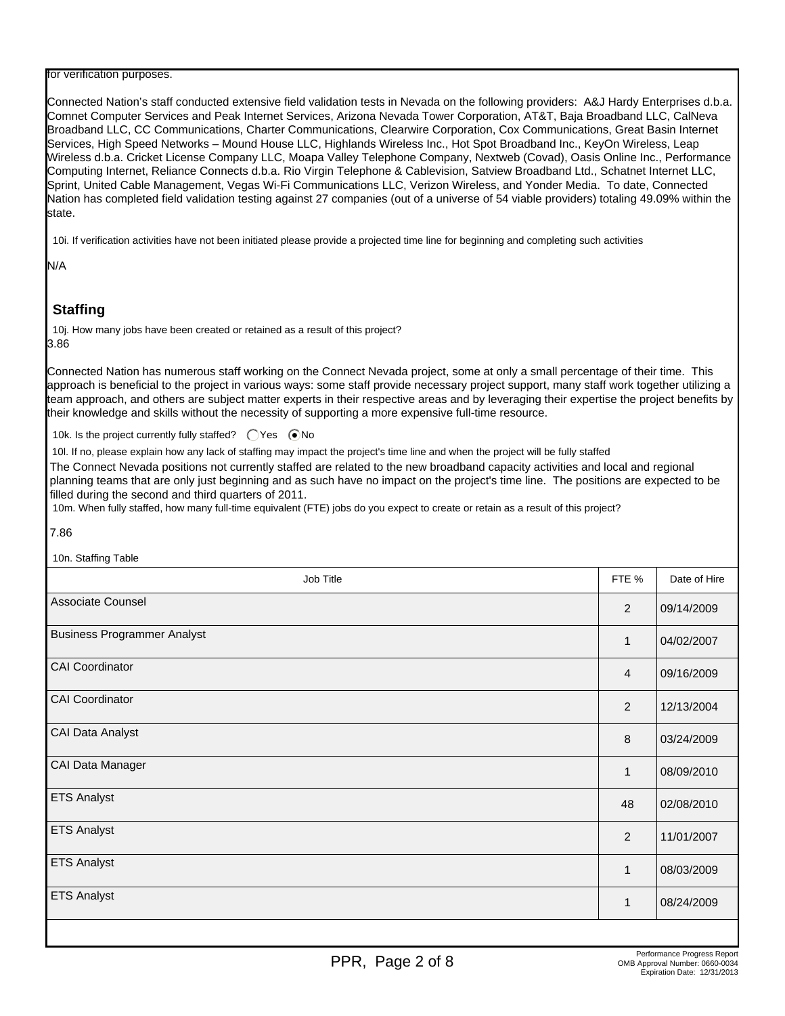#### for verification purposes.

Connected Nation's staff conducted extensive field validation tests in Nevada on the following providers: A&J Hardy Enterprises d.b.a. Comnet Computer Services and Peak Internet Services, Arizona Nevada Tower Corporation, AT&T, Baja Broadband LLC, CalNeva Broadband LLC, CC Communications, Charter Communications, Clearwire Corporation, Cox Communications, Great Basin Internet Services, High Speed Networks – Mound House LLC, Highlands Wireless Inc., Hot Spot Broadband Inc., KeyOn Wireless, Leap Wireless d.b.a. Cricket License Company LLC, Moapa Valley Telephone Company, Nextweb (Covad), Oasis Online Inc., Performance Computing Internet, Reliance Connects d.b.a. Rio Virgin Telephone & Cablevision, Satview Broadband Ltd., Schatnet Internet LLC, Sprint, United Cable Management, Vegas Wi-Fi Communications LLC, Verizon Wireless, and Yonder Media. To date, Connected Nation has completed field validation testing against 27 companies (out of a universe of 54 viable providers) totaling 49.09% within the state.

10i. If verification activities have not been initiated please provide a projected time line for beginning and completing such activities

N/A

# **Staffing**

10j. How many jobs have been created or retained as a result of this project? 3.86

Connected Nation has numerous staff working on the Connect Nevada project, some at only a small percentage of their time. This approach is beneficial to the project in various ways: some staff provide necessary project support, many staff work together utilizing a team approach, and others are subject matter experts in their respective areas and by leveraging their expertise the project benefits by their knowledge and skills without the necessity of supporting a more expensive full-time resource.

10k. Is the project currently fully staffed?  $\bigcirc$  Yes  $\bigcirc$  No

10l. If no, please explain how any lack of staffing may impact the project's time line and when the project will be fully staffed

The Connect Nevada positions not currently staffed are related to the new broadband capacity activities and local and regional planning teams that are only just beginning and as such have no impact on the project's time line. The positions are expected to be filled during the second and third quarters of 2011.

10m. When fully staffed, how many full-time equivalent (FTE) jobs do you expect to create or retain as a result of this project?

7.86

 $O(t_0H)$  is  $T_0H$ 

| Tun. Staming Table                 |                |              |
|------------------------------------|----------------|--------------|
| Job Title                          | FTE %          | Date of Hire |
| Associate Counsel                  | 2              | 09/14/2009   |
| <b>Business Programmer Analyst</b> | 1              | 04/02/2007   |
| CAI Coordinator                    | 4              | 09/16/2009   |
| CAI Coordinator                    | 2              | 12/13/2004   |
| CAI Data Analyst                   | 8              | 03/24/2009   |
| CAI Data Manager                   | 1              | 08/09/2010   |
| <b>ETS Analyst</b>                 | 48             | 02/08/2010   |
| <b>ETS Analyst</b>                 | $\overline{2}$ | 11/01/2007   |
| <b>ETS Analyst</b>                 | 1              | 08/03/2009   |
| <b>ETS Analyst</b>                 | 1              | 08/24/2009   |
|                                    |                |              |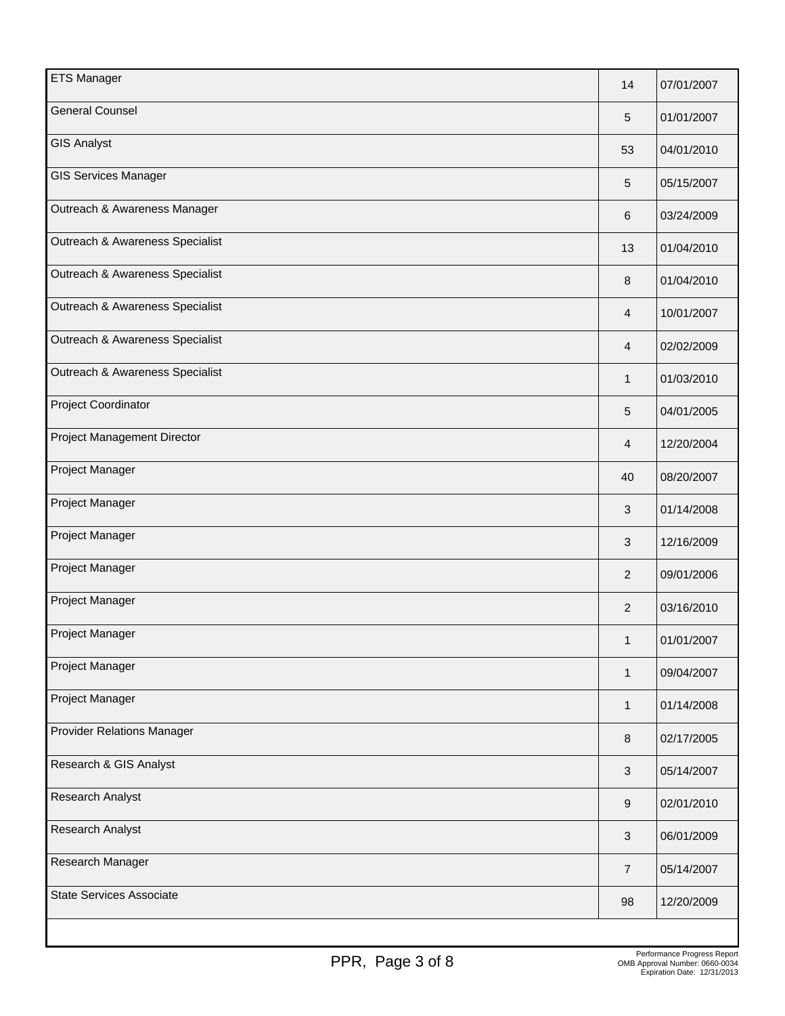| <b>ETS Manager</b>              | 14             | 07/01/2007 |
|---------------------------------|----------------|------------|
| <b>General Counsel</b>          | 5              | 01/01/2007 |
| <b>GIS Analyst</b>              | 53             | 04/01/2010 |
| <b>GIS Services Manager</b>     | 5              | 05/15/2007 |
| Outreach & Awareness Manager    | 6              | 03/24/2009 |
| Outreach & Awareness Specialist | 13             | 01/04/2010 |
| Outreach & Awareness Specialist | 8              | 01/04/2010 |
| Outreach & Awareness Specialist | 4              | 10/01/2007 |
| Outreach & Awareness Specialist | 4              | 02/02/2009 |
| Outreach & Awareness Specialist | 1              | 01/03/2010 |
| Project Coordinator             | 5              | 04/01/2005 |
| Project Management Director     | 4              | 12/20/2004 |
| Project Manager                 | 40             | 08/20/2007 |
| Project Manager                 | 3              | 01/14/2008 |
| Project Manager                 | 3              | 12/16/2009 |
| Project Manager                 | $\overline{2}$ | 09/01/2006 |
| Project Manager                 | $\overline{2}$ | 03/16/2010 |
| Project Manager                 | 1              | 01/01/2007 |
| Project Manager                 | 1              | 09/04/2007 |
| Project Manager                 | 1              | 01/14/2008 |
| Provider Relations Manager      | 8              | 02/17/2005 |
| Research & GIS Analyst          | 3              | 05/14/2007 |
| Research Analyst                | 9              | 02/01/2010 |
| Research Analyst                | $\sqrt{3}$     | 06/01/2009 |
| Research Manager                | $\overline{7}$ | 05/14/2007 |
| <b>State Services Associate</b> | 98             | 12/20/2009 |
|                                 |                |            |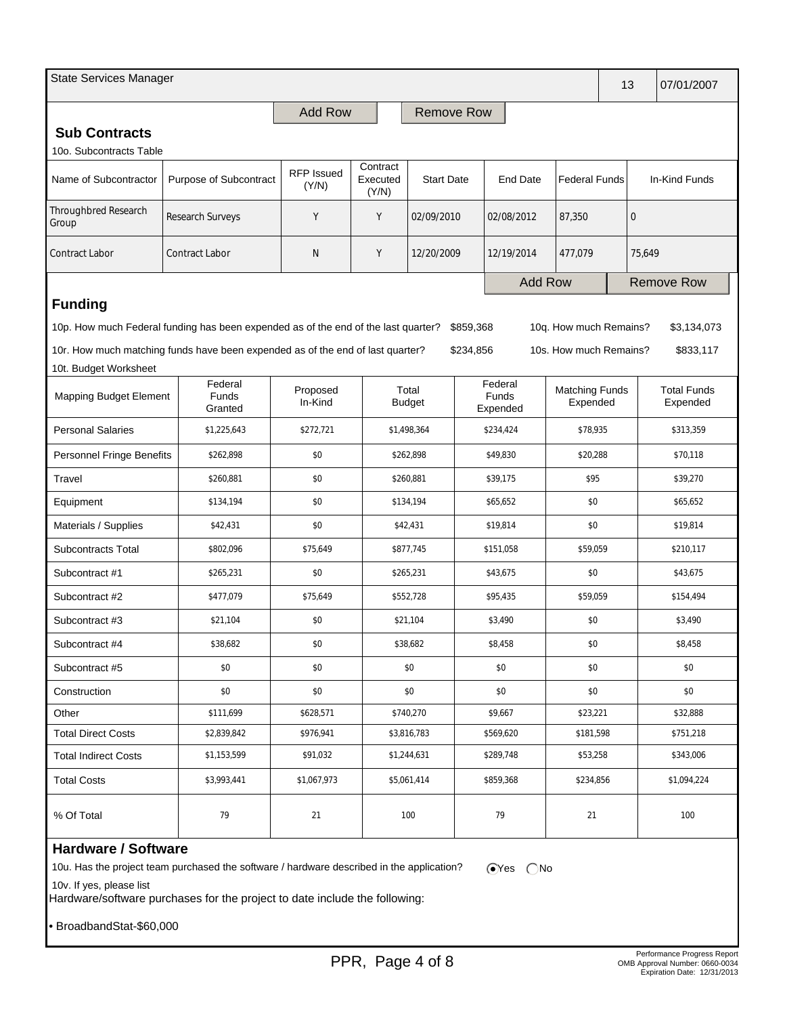| State Services Manager        |                                                                                    |                     |                               |                   |                     |                                     | 13                                |             | 07/01/2007        |                                |
|-------------------------------|------------------------------------------------------------------------------------|---------------------|-------------------------------|-------------------|---------------------|-------------------------------------|-----------------------------------|-------------|-------------------|--------------------------------|
|                               |                                                                                    | <b>Add Row</b>      |                               | <b>Remove Row</b> |                     |                                     |                                   |             |                   |                                |
| <b>Sub Contracts</b>          |                                                                                    |                     |                               |                   |                     |                                     |                                   |             |                   |                                |
| 10o. Subcontracts Table       |                                                                                    |                     |                               |                   |                     |                                     |                                   |             |                   |                                |
| Name of Subcontractor         | Purpose of Subcontract                                                             | RFP Issued<br>(Y/N) | Contract<br>Executed<br>(Y/N) | <b>Start Date</b> |                     | <b>End Date</b>                     | <b>Federal Funds</b>              |             | In-Kind Funds     |                                |
| Throughbred Research<br>Group | Research Surveys                                                                   | Y                   | Υ                             | 02/09/2010        |                     | 02/08/2012<br>87,350                |                                   | $\mathbf 0$ |                   |                                |
| <b>Contract Labor</b>         | <b>Contract Labor</b>                                                              | N                   | Υ                             | 12/20/2009        |                     | 12/19/2014                          | 477,079                           |             | 75,649            |                                |
|                               |                                                                                    |                     |                               |                   |                     |                                     | <b>Add Row</b>                    |             | <b>Remove Row</b> |                                |
| <b>Funding</b>                |                                                                                    |                     |                               |                   |                     |                                     |                                   |             |                   |                                |
|                               | 10p. How much Federal funding has been expended as of the end of the last quarter? |                     |                               |                   | \$859,368           |                                     | 10q. How much Remains?            |             |                   | \$3,134,073                    |
|                               | 10r. How much matching funds have been expended as of the end of last quarter?     |                     |                               |                   | \$234,856           |                                     | 10s. How much Remains?            |             |                   | \$833,117                      |
| 10t. Budget Worksheet         |                                                                                    |                     |                               |                   |                     |                                     |                                   |             |                   |                                |
| <b>Mapping Budget Element</b> | Federal<br>Funds<br>Granted                                                        | Proposed<br>In-Kind | Total<br><b>Budget</b>        |                   |                     | Federal<br><b>Funds</b><br>Expended | <b>Matching Funds</b><br>Expended |             |                   | <b>Total Funds</b><br>Expended |
| <b>Personal Salaries</b>      | \$1,225,643                                                                        | \$272,721           |                               | \$1,498,364       |                     | \$234,424<br>\$78,935               |                                   |             |                   | \$313,359                      |
| Personnel Fringe Benefits     | \$262,898                                                                          |                     |                               | \$262,898         |                     | \$49,830                            |                                   | \$20,288    |                   | \$70,118                       |
| Travel                        | \$260,881                                                                          |                     |                               | \$260,881         |                     | \$39,175                            |                                   | \$95        |                   | \$39,270                       |
| Equipment                     | \$134,194                                                                          | \$0                 |                               | \$134,194         |                     | \$65,652                            | \$0                               |             |                   | \$65,652                       |
| Materials / Supplies          | \$42,431                                                                           |                     |                               | \$42,431          |                     | \$19,814<br>\$0                     |                                   |             |                   | \$19,814                       |
| <b>Subcontracts Total</b>     | \$802,096                                                                          | \$75,649            | \$877,745                     |                   |                     | \$151,058                           | \$59,059                          |             |                   | \$210,117                      |
| Subcontract #1                | \$265,231                                                                          |                     |                               | \$265,231         |                     | \$43,675                            |                                   | \$0         |                   | \$43,675                       |
| Subcontract #2                | \$477,079                                                                          |                     |                               | \$552,728         |                     | \$95,435                            | \$59,059                          |             |                   | \$154,494                      |
| Subcontract #3<br>\$21,104    |                                                                                    | \$0                 |                               | \$21,104          | \$3,490             |                                     | \$0                               |             |                   | \$3,490                        |
| Subcontract #4                | \$38,682                                                                           |                     | \$0                           |                   | \$38,682<br>\$8,458 |                                     | \$0                               |             |                   | \$8,458                        |
| Subcontract #5                | \$0                                                                                |                     | \$0                           |                   | \$0                 |                                     | \$0                               |             |                   | \$0                            |
| Construction                  | \$0                                                                                |                     |                               | \$0               |                     | \$0                                 | \$0                               |             |                   | \$0                            |
| Other                         | \$111,699                                                                          |                     |                               | \$740,270         | \$9,667             |                                     | \$23,221                          |             |                   | \$32,888                       |
| <b>Total Direct Costs</b>     | \$2,839,842                                                                        | \$976,941           |                               | \$3,816,783       |                     | \$569,620                           | \$181,598                         |             |                   | \$751,218                      |
| <b>Total Indirect Costs</b>   | \$1,153,599                                                                        | \$91,032            |                               | \$1,244,631       | \$289,748           |                                     | \$53,258                          |             |                   | \$343,006                      |
| <b>Total Costs</b>            | \$3,993,441                                                                        | \$1,067,973         |                               | \$5,061,414       |                     | \$859,368                           | \$234,856                         |             |                   | \$1,094,224                    |
| % Of Total                    | 79                                                                                 | 21                  |                               | 100               |                     | 79<br>21                            |                                   |             |                   | 100                            |

## **Hardware / Software**

10u. Has the project team purchased the software / hardware described in the application?  $\bigcirc$ Yes  $\bigcirc$ No

10v. If yes, please list

Hardware/software purchases for the project to date include the following:

• BroadbandStat-\$60,000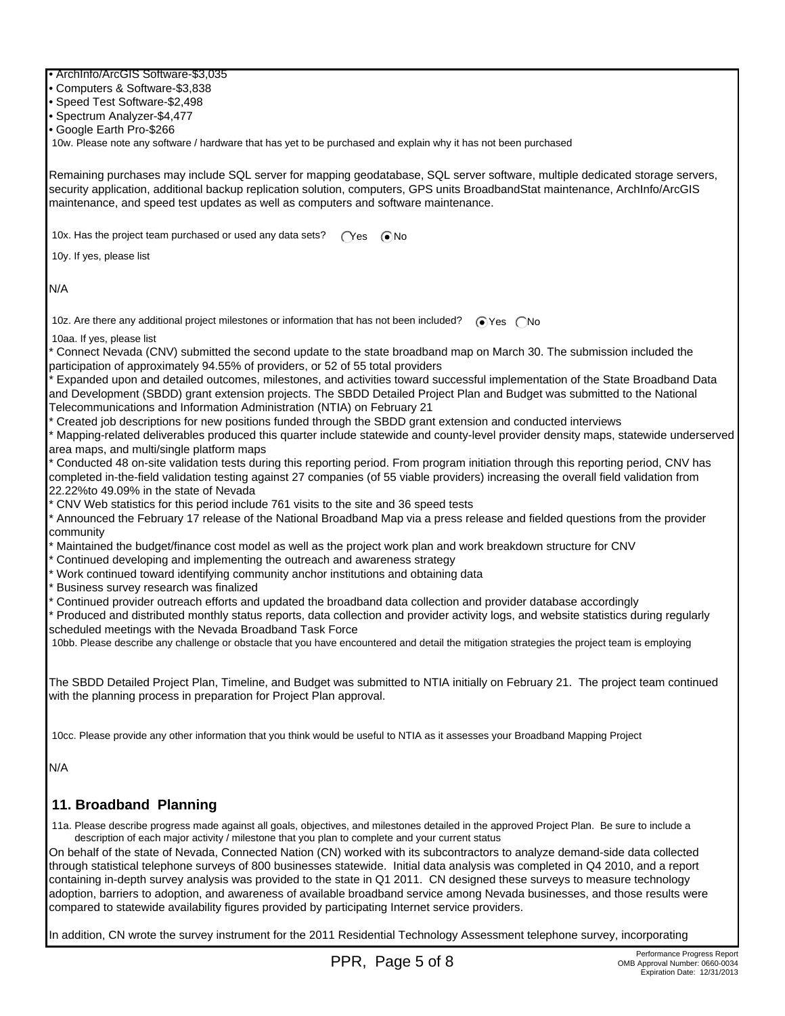• ArchInfo/ArcGIS Software-\$3,035

• Computers & Software-\$3,838

• Speed Test Software-\$2,498

• Spectrum Analyzer-\$4,477

• Google Earth Pro-\$266

10w. Please note any software / hardware that has yet to be purchased and explain why it has not been purchased

Remaining purchases may include SQL server for mapping geodatabase, SQL server software, multiple dedicated storage servers, security application, additional backup replication solution, computers, GPS units BroadbandStat maintenance, ArchInfo/ArcGIS maintenance, and speed test updates as well as computers and software maintenance.

10x. Has the project team purchased or used any data sets?  $\bigcap$ Yes  $\bigcirc$ No

10y. If yes, please list

N/A

10z. Are there any additional project milestones or information that has not been included?  $\bigcirc$  Yes  $\bigcirc$  No

10aa. If yes, please list

\* Connect Nevada (CNV) submitted the second update to the state broadband map on March 30. The submission included the participation of approximately 94.55% of providers, or 52 of 55 total providers

\* Expanded upon and detailed outcomes, milestones, and activities toward successful implementation of the State Broadband Data and Development (SBDD) grant extension projects. The SBDD Detailed Project Plan and Budget was submitted to the National Telecommunications and Information Administration (NTIA) on February 21

\* Created job descriptions for new positions funded through the SBDD grant extension and conducted interviews

\* Mapping-related deliverables produced this quarter include statewide and county-level provider density maps, statewide underserved area maps, and multi/single platform maps

\* Conducted 48 on-site validation tests during this reporting period. From program initiation through this reporting period, CNV has completed in-the-field validation testing against 27 companies (of 55 viable providers) increasing the overall field validation from 22.22%to 49.09% in the state of Nevada

\* CNV Web statistics for this period include 761 visits to the site and 36 speed tests

\* Announced the February 17 release of the National Broadband Map via a press release and fielded questions from the provider community

\* Maintained the budget/finance cost model as well as the project work plan and work breakdown structure for CNV

\* Continued developing and implementing the outreach and awareness strategy

\* Work continued toward identifying community anchor institutions and obtaining data

\* Business survey research was finalized

Continued provider outreach efforts and updated the broadband data collection and provider database accordingly

\* Produced and distributed monthly status reports, data collection and provider activity logs, and website statistics during regularly scheduled meetings with the Nevada Broadband Task Force

10bb. Please describe any challenge or obstacle that you have encountered and detail the mitigation strategies the project team is employing

The SBDD Detailed Project Plan, Timeline, and Budget was submitted to NTIA initially on February 21. The project team continued with the planning process in preparation for Project Plan approval.

10cc. Please provide any other information that you think would be useful to NTIA as it assesses your Broadband Mapping Project

N/A

### **11. Broadband Planning**

 11a. Please describe progress made against all goals, objectives, and milestones detailed in the approved Project Plan. Be sure to include a description of each major activity / milestone that you plan to complete and your current status

On behalf of the state of Nevada, Connected Nation (CN) worked with its subcontractors to analyze demand-side data collected through statistical telephone surveys of 800 businesses statewide. Initial data analysis was completed in Q4 2010, and a report containing in-depth survey analysis was provided to the state in Q1 2011. CN designed these surveys to measure technology adoption, barriers to adoption, and awareness of available broadband service among Nevada businesses, and those results were compared to statewide availability figures provided by participating Internet service providers.

In addition, CN wrote the survey instrument for the 2011 Residential Technology Assessment telephone survey, incorporating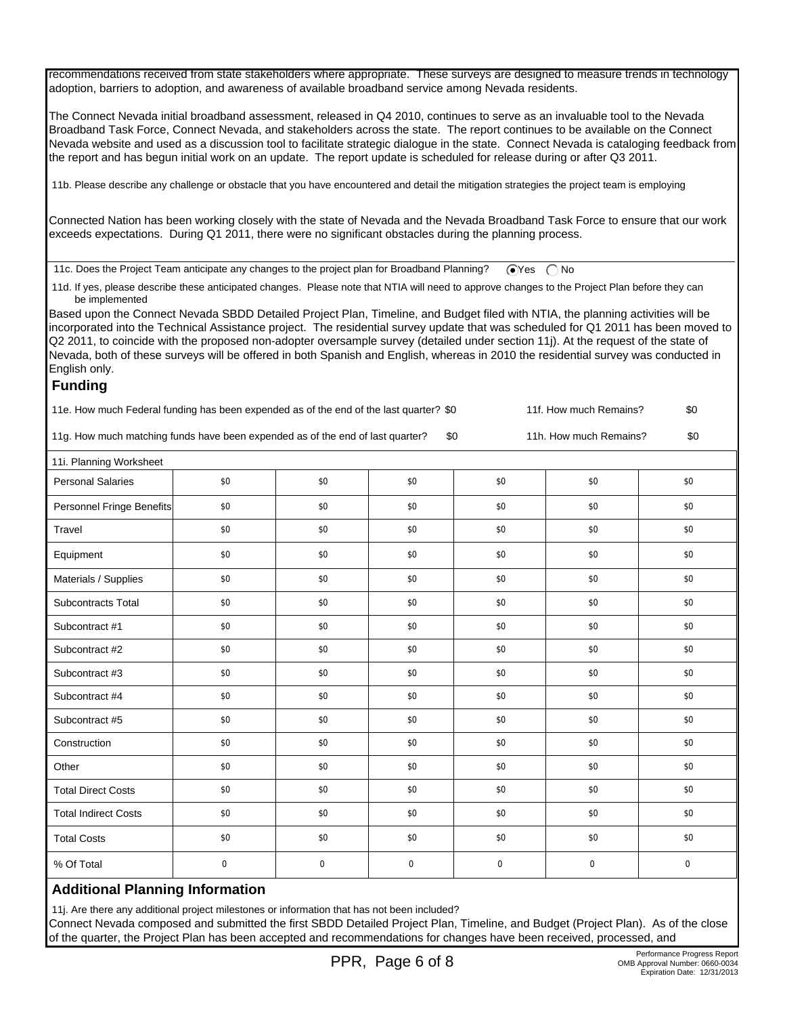recommendations received from state stakeholders where appropriate. These surveys are designed to measure trends in technology adoption, barriers to adoption, and awareness of available broadband service among Nevada residents.

The Connect Nevada initial broadband assessment, released in Q4 2010, continues to serve as an invaluable tool to the Nevada Broadband Task Force, Connect Nevada, and stakeholders across the state. The report continues to be available on the Connect Nevada website and used as a discussion tool to facilitate strategic dialogue in the state. Connect Nevada is cataloging feedback from the report and has begun initial work on an update. The report update is scheduled for release during or after Q3 2011.

11b. Please describe any challenge or obstacle that you have encountered and detail the mitigation strategies the project team is employing

Connected Nation has been working closely with the state of Nevada and the Nevada Broadband Task Force to ensure that our work exceeds expectations. During Q1 2011, there were no significant obstacles during the planning process.

11c. Does the Project Team anticipate any changes to the project plan for Broadband Planning?  $\bigcirc$  Yes  $\bigcirc$  No

 11d. If yes, please describe these anticipated changes. Please note that NTIA will need to approve changes to the Project Plan before they can be implemented

Based upon the Connect Nevada SBDD Detailed Project Plan, Timeline, and Budget filed with NTIA, the planning activities will be incorporated into the Technical Assistance project. The residential survey update that was scheduled for Q1 2011 has been moved to Q2 2011, to coincide with the proposed non-adopter oversample survey (detailed under section 11j). At the request of the state of Nevada, both of these surveys will be offered in both Spanish and English, whereas in 2010 the residential survey was conducted in English only.

#### **Funding**

11e. How much Federal funding has been expended as of the end of the last quarter? \$0 11f. How much Remains? \$0

11g. How much matching funds have been expended as of the end of last quarter? \$0 11h. How much Remains? \$0

| 11i. Planning Worksheet     |             |     |             |             |           |             |  |
|-----------------------------|-------------|-----|-------------|-------------|-----------|-------------|--|
| <b>Personal Salaries</b>    | \$0         | \$0 | \$0         | \$0         | \$0       | \$0         |  |
| Personnel Fringe Benefits   | \$0         | \$0 | \$0         | \$0         | \$0       | \$0         |  |
| Travel                      | \$0         | \$0 | \$0         | \$0         | \$0       | \$0         |  |
| Equipment                   | \$0         | \$0 | \$0         | \$0         | \$0       | \$0         |  |
| Materials / Supplies        | \$0         | \$0 | \$0         | \$0         | \$0       | \$0         |  |
| Subcontracts Total          | \$0         | \$0 | \$0         | \$0         | \$0       | \$0         |  |
| Subcontract #1              | \$0         | \$0 | \$0         | \$0         | \$0       | \$0         |  |
| Subcontract #2              | \$0         | \$0 | \$0         | \$0         | \$0       | \$0         |  |
| Subcontract #3              | \$0         | \$0 | \$0         | \$0         | \$0       | \$0         |  |
| Subcontract #4              | \$0         | \$0 | \$0         | \$0         | \$0       | \$0         |  |
| Subcontract #5              | \$0         | \$0 | \$0         | \$0         | \$0       | \$0         |  |
| Construction                | \$0         | \$0 | \$0         | \$0         | \$0       | \$0         |  |
| Other                       | \$0         | \$0 | \$0         | \$0         | \$0       | \$0         |  |
| <b>Total Direct Costs</b>   | \$0         | \$0 | \$0         | \$0         | \$0       | \$0         |  |
| <b>Total Indirect Costs</b> | \$0         | \$0 | \$0         | \$0         | \$0       | \$0         |  |
| <b>Total Costs</b>          | \$0         | \$0 | \$0         | \$0         | \$0       | \$0         |  |
| % Of Total                  | $\mathbf 0$ | 0   | $\mathbf 0$ | $\mathbf 0$ | $\pmb{0}$ | $\mathbf 0$ |  |

### **Additional Planning Information**

11j. Are there any additional project milestones or information that has not been included?

Connect Nevada composed and submitted the first SBDD Detailed Project Plan, Timeline, and Budget (Project Plan). As of the close of the quarter, the Project Plan has been accepted and recommendations for changes have been received, processed, and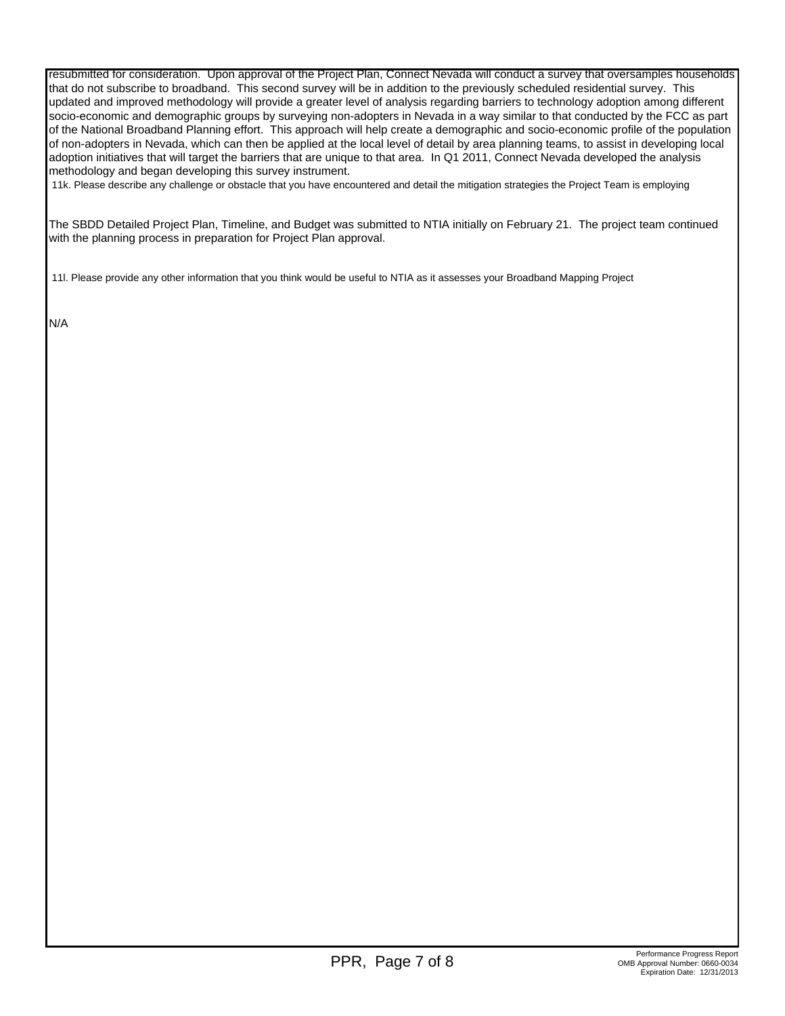resubmitted for consideration. Upon approval of the Project Plan, Connect Nevada will conduct a survey that oversamples households that do not subscribe to broadband. This second survey will be in addition to the previously scheduled residential survey. This updated and improved methodology will provide a greater level of analysis regarding barriers to technology adoption among different socio-economic and demographic groups by surveying non-adopters in Nevada in a way similar to that conducted by the FCC as part of the National Broadband Planning effort. This approach will help create a demographic and socio-economic profile of the population of non-adopters in Nevada, which can then be applied at the local level of detail by area planning teams, to assist in developing local adoption initiatives that will target the barriers that are unique to that area. In Q1 2011, Connect Nevada developed the analysis methodology and began developing this survey instrument.

11k. Please describe any challenge or obstacle that you have encountered and detail the mitigation strategies the Project Team is employing

The SBDD Detailed Project Plan, Timeline, and Budget was submitted to NTIA initially on February 21. The project team continued with the planning process in preparation for Project Plan approval.

11l. Please provide any other information that you think would be useful to NTIA as it assesses your Broadband Mapping Project

N/A